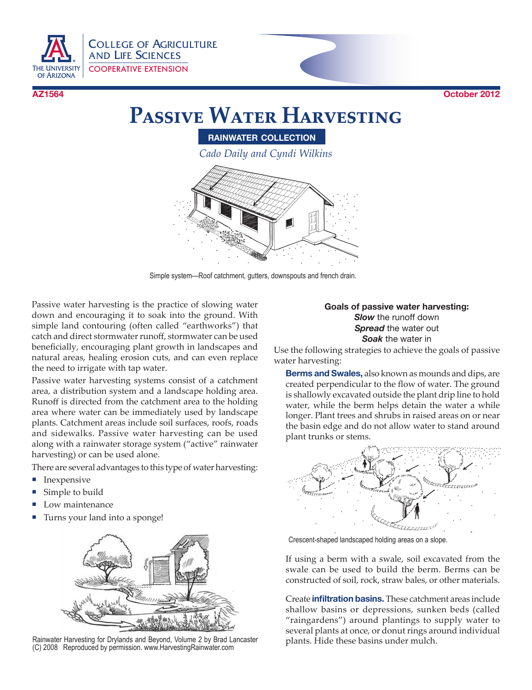

COLLEGE OF AGRICULTURE AND LIFE SCIENCES COOPERATIVE EXTENSION



# **Passive Water Harvesting**

**rainwater collection**

*Cado Daily and Cyndi Wilkins*

Simple system—Roof catchment, gutters, downspouts and french drain.

Passive water harvesting is the practice of slowing water down and encouraging it to soak into the ground. With simple land contouring (often called "earthworks") that catch and direct stormwater runoff, stormwater can be used beneficially, encouraging plant growth in landscapes and natural areas, healing erosion cuts, and can even replace the need to irrigate with tap water.

Passive water harvesting systems consist of a catchment area, a distribution system and a landscape holding area. Runoff is directed from the catchment area to the holding area where water can be immediately used by landscape plants. Catchment areas include soil surfaces, roofs, roads and sidewalks. Passive water harvesting can be used along with a rainwater storage system ("active" rainwater harvesting) or can be used alone.

There are several advantages to this type of water harvesting:

- **Inexpensive**
- Simple to build
- Low maintenance
- Turns your land into a sponge!



Rainwater Harvesting for Drylands and Beyond, Volume 2 by Brad Lancaster plants. Hide these basins under mulch.<br>(C) 2008 Reproduced by permission. www.HarvestingRainwater.com

#### **Goals of passive water harvesting:** *Slow* the runoff down *Spread* the water out *Soak* the water in

Use the following strategies to achieve the goals of passive water harvesting:

 **Berms and Swales,** also known as mounds and dips, are created perpendicular to the flow of water. The ground is shallowly excavated outside the plant drip line to hold water, while the berm helps detain the water a while longer. Plant trees and shrubs in raised areas on or near the basin edge and do not allow water to stand around plant trunks or stems.



Crescent-shaped landscaped holding areas on a slope.

If using a berm with a swale, soil excavated from the swale can be used to build the berm. Berms can be constructed of soil, rock, straw bales, or other materials.

 Create **infiltration basins.** These catchment areas include shallow basins or depressions, sunken beds (called "raingardens") around plantings to supply water to several plants at once, or donut rings around individual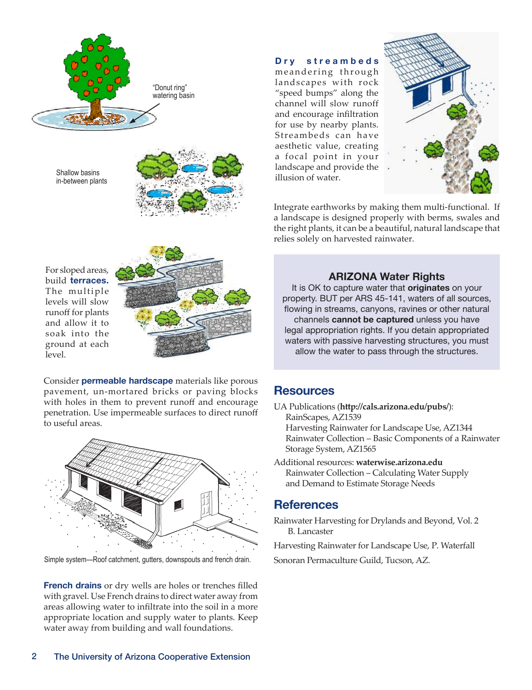

Shallow basins in-between plants



**D <sup>r</sup> y <sup>s</sup> t <sup>r</sup> <sup>e</sup> <sup>a</sup> <sup>m</sup> b <sup>e</sup> d <sup>s</sup>** meandering through landscapes with rock "speed bumps" along the channel will slow runoff

and encourage infiltration for use by nearby plants. Streambeds can have aesthetic value, creating a focal point in your landscape and provide the illusion of water.



Integrate earthworks by making them multi-functional. If a landscape is designed properly with berms, swales and the right plants, it can be a beautiful, natural landscape that relies solely on harvested rainwater.

For sloped areas, build **terraces.**  The multiple levels will slow runoff for plants and allow it to soak into the ground at each level.



 Consider **permeable hardscape** materials like porous pavement, un-mortared bricks or paving blocks with holes in them to prevent runoff and encourage penetration. Use impermeable surfaces to direct runoff to useful areas.



Simple system—Roof catchment, gutters, downspouts and french drain. Sonoran Permaculture Guild, Tucson, AZ.

 **French drains** or dry wells are holes or trenches filled with gravel. Use French drains to direct water away from areas allowing water to infiltrate into the soil in a more appropriate location and supply water to plants. Keep water away from building and wall foundations.

# **ARIZONA Water Rights**

It is OK to capture water that **originates** on your property. BUT per ARS 45-141, waters of all sources, flowing in streams, canyons, ravines or other natural channels **cannot be captured** unless you have legal appropriation rights. If you detain appropriated waters with passive harvesting structures, you must allow the water to pass through the structures.

# **Resources**

UA Publications (**http://cals.arizona.edu/pubs/**): RainScapes, AZ1539

Harvesting Rainwater for Landscape Use, AZ1344 Rainwater Collection – Basic Components of a Rainwater Storage System, AZ1565

Additional resources: **waterwise.arizona.edu** Rainwater Collection – Calculating Water Supply and Demand to Estimate Storage Needs

# **References**

Rainwater Harvesting for Drylands and Beyond, Vol. 2 B. Lancaster

Harvesting Rainwater for Landscape Use, P. Waterfall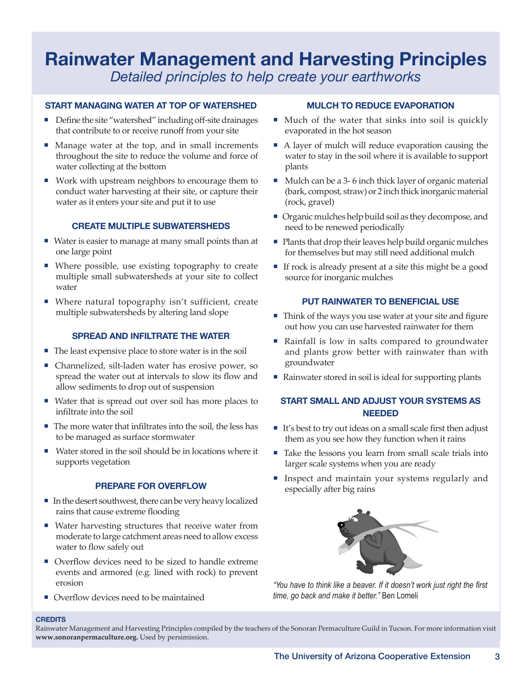# **Rainwater Management and Harvesting Principles** *Detailed principles to help create your earthworks*

#### **START MANAGING WATER AT TOP OF WATERSHED**

- $\blacksquare$  Define the site "watershed" including off-site drainages that contribute to or receive runoff from your site
- Manage water at the top, and in small increments throughout the site to reduce the volume and force of water collecting at the bottom
- ¡ Work with upstream neighbors to encourage them to conduct water harvesting at their site, or capture their water as it enters your site and put it to use

#### **CREATE MULTIPLE SUBWATERSHEDS**

- Water is easier to manage at many small points than at one large point
- $\blacksquare$  Where possible, use existing topography to create multiple small subwatersheds at your site to collect water
- Where natural topography isn't sufficient, create multiple subwatersheds by altering land slope

#### **SPREAD AND INFILTRATE THE WATER**

- $\blacksquare$  The least expensive place to store water is in the soil
- Channelized, silt-laden water has erosive power, so spread the water out at intervals to slow its flow and allow sediments to drop out of suspension
- Water that is spread out over soil has more places to infiltrate into the soil
- $\blacksquare$  The more water that infiltrates into the soil, the less has to be managed as surface stormwater
- ¡ Water stored in the soil should be in locations where it supports vegetation

#### **PREPARE FOR OVERFLOW**

- $\blacksquare$  In the desert southwest, there can be very heavy localized rains that cause extreme flooding
- $\blacksquare$  Water harvesting structures that receive water from moderate to large catchment areas need to allow excess water to flow safely out
- Overflow devices need to be sized to handle extreme events and armored (e.g. lined with rock) to prevent erosion
- Overflow devices need to be maintained

#### **MULCH TO REDUCE EVAPORATION**

- $\blacksquare$  Much of the water that sinks into soil is quickly evaporated in the hot season
- A layer of mulch will reduce evaporation causing the water to stay in the soil where it is available to support plants
- $\blacksquare$  Mulch can be a 3-6 inch thick layer of organic material (bark, compost, straw) or 2 inch thick inorganic material (rock, gravel)
- Organic mulches help build soil as they decompose, and need to be renewed periodically
- $\blacksquare$  Plants that drop their leaves help build organic mulches for themselves but may still need additional mulch
- $\blacksquare$  If rock is already present at a site this might be a good source for inorganic mulches

#### **PUT RAINWATER TO BENEFICIAL USE**

- Think of the ways you use water at your site and figure out how you can use harvested rainwater for them
- Rainfall is low in salts compared to groundwater and plants grow better with rainwater than with groundwater
- Rainwater stored in soil is ideal for supporting plants

#### **START SMALL AND ADJUST YOUR SYSTEMS AS NEEDED**

- $\blacksquare$  It's best to try out ideas on a small scale first then adjust them as you see how they function when it rains
- $\blacksquare$  Take the lessons you learn from small scale trials into larger scale systems when you are ready
- Inspect and maintain your systems regularly and especially after big rains



*"You have to think like a beaver. If it doesn't work just right the first time, go back and make it better."* Ben Lomeli

#### **CREDITS**

Rainwater Management and Harvesting Principles compiled by the teachers of the Sonoran Permaculture Guild in Tucson. For more information visit **www.sonoranpermaculture.org.** Used by persimission.